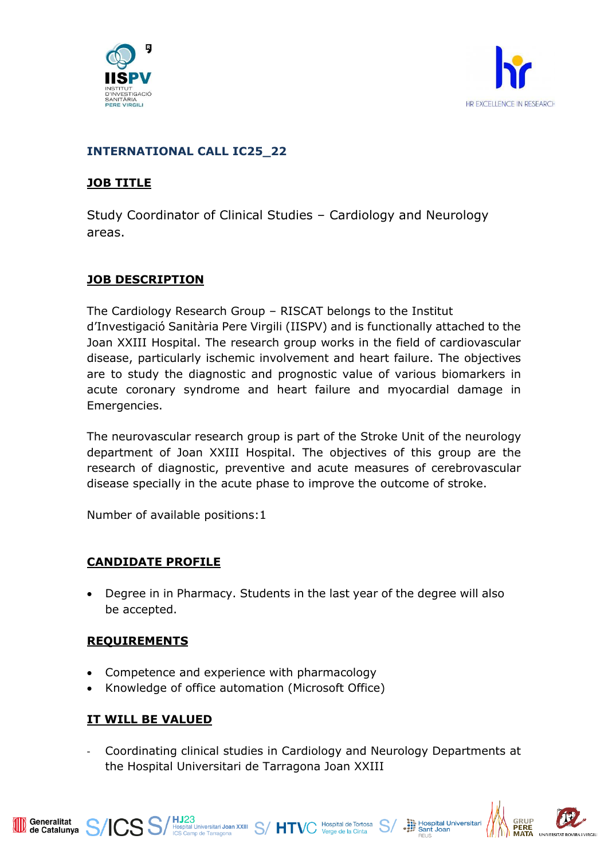



## **INTERNATIONAL CALL IC25\_22**

## **JOB TITLE**

Study Coordinator of Clinical Studies – Cardiology and Neurology areas.

# **JOB DESCRIPTION**

The Cardiology Research Group – RISCAT belongs to the Institut d'Investigació Sanitària Pere Virgili (IISPV) and is functionally attached to the Joan XXIII Hospital. The research group works in the field of cardiovascular disease, particularly ischemic involvement and heart failure. The objectives are to study the diagnostic and prognostic value of various biomarkers in acute coronary syndrome and heart failure and myocardial damage in Emergencies.

The neurovascular research group is part of the Stroke Unit of the neurology department of Joan XXIII Hospital. The objectives of this group are the research of diagnostic, preventive and acute measures of cerebrovascular disease specially in the acute phase to improve the outcome of stroke.

Number of available positions:1

# **CANDIDATE PROFILE**

• Degree in in Pharmacy. Students in the last year of the degree will also be accepted.

### **REQUIREMENTS**

- Competence and experience with pharmacology
- Knowledge of office automation (Microsoft Office)

ICS S/HJ23<br>ICS Camp de Tarragona<br>
S/HTVC Verge de la Cinta<br>
S/

# **IT WILL BE VALUED**

- Coordinating clinical studies in Cardiology and Neurology Departments at the Hospital Universitari de Tarragona Joan XXIII



Hospital Universitari<br>
Sant Joan

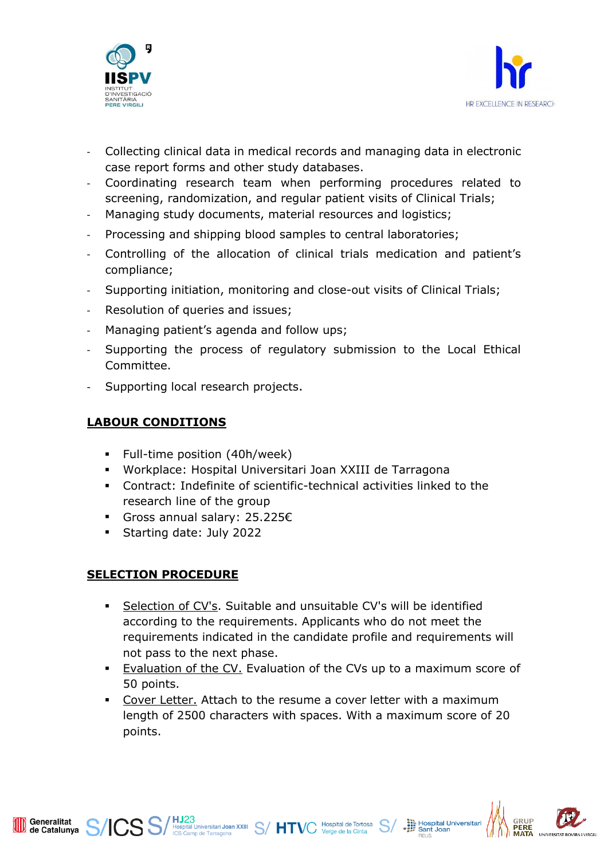



- Collecting clinical data in medical records and managing data in electronic case report forms and other study databases.
- Coordinating research team when performing procedures related to screening, randomization, and regular patient visits of Clinical Trials;
- Managing study documents, material resources and logistics;
- Processing and shipping blood samples to central laboratories;
- Controlling of the allocation of clinical trials medication and patient's compliance;
- Supporting initiation, monitoring and close-out visits of Clinical Trials;
- Resolution of queries and issues;
- Managing patient's agenda and follow ups;
- Supporting the process of regulatory submission to the Local Ethical Committee.
- Supporting local research projects.

#### **LABOUR CONDITIONS**

- Full-time position (40h/week)
- Workplace: Hospital Universitari Joan XXIII de Tarragona
- Contract: Indefinite of scientific-technical activities linked to the research line of the group
- Gross annual salary: 25.225€
- Starting date: July 2022

### **SELECTION PROCEDURE**

Generalitat<br>de Catalunya

- Selection of CV's. Suitable and unsuitable CV's will be identified according to the requirements. Applicants who do not meet the requirements indicated in the candidate profile and requirements will not pass to the next phase.
- Evaluation of the CV. Evaluation of the CVs up to a maximum score of 50 points.
- Cover Letter. Attach to the resume a cover letter with a maximum length of 2500 characters with spaces. With a maximum score of 20 points.

S S/HJ23<br>S S/Hospital Universitari Joan XXIII S/HTVC Hospital de Tortosa S/

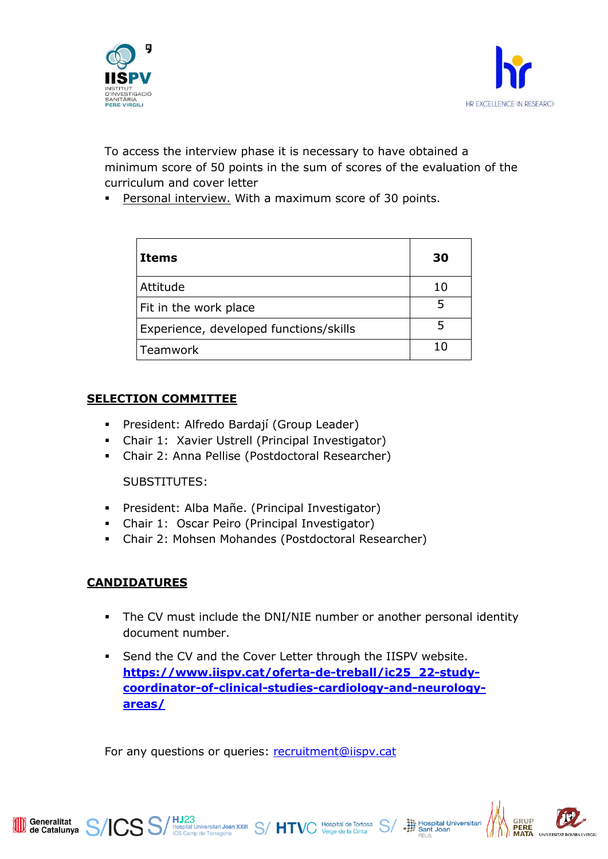



To access the interview phase it is necessary to have obtained a minimum score of 50 points in the sum of scores of the evaluation of the curriculum and cover letter

Personal interview. With a maximum score of 30 points.

| Items                                  | 30  |
|----------------------------------------|-----|
| Attitude                               | 10  |
| Fit in the work place                  |     |
| Experience, developed functions/skills |     |
| Teamwork                               | ו ז |

### **SELECTION COMMITTEE**

- President: Alfredo Bardají (Group Leader)
- Chair 1: Xavier Ustrell (Principal Investigator)
- Chair 2: Anna Pellise (Postdoctoral Researcher)

#### SUBSTITUTES:

- President: Alba Mañe. (Principal Investigator)
- Chair 1: Oscar Peiro (Principal Investigator)
- Chair 2: Mohsen Mohandes (Postdoctoral Researcher)

### **CANDIDATURES**

- **•** The CV must include the DNI/NIE number or another personal identity document number.
- Send the CV and the Cover Letter through the IISPV website. **[https://www.iispv.cat/oferta-de-treball/ic25\\_22-study](https://www.iispv.cat/oferta-de-treball/ic25_22-study-coordinator-of-clinical-studies-cardiology-and-neurology-areas/)[coordinator-of-clinical-studies-cardiology-and-neurology](https://www.iispv.cat/oferta-de-treball/ic25_22-study-coordinator-of-clinical-studies-cardiology-and-neurology-areas/)[areas/](https://www.iispv.cat/oferta-de-treball/ic25_22-study-coordinator-of-clinical-studies-cardiology-and-neurology-areas/)**

For any questions or queries: [recruitment@iispv.cat](file:///C:/Users/abard/Google%20Drive/HOSPITAL/Investigación/IISPV/Coordinador%20de%20Ensayos%20Clinicos/recruitment@iispv.cat)

 $\text{SS}/\text{HJ23}_{\text{Hospital University}}$  Hospital Universitari Joan XXIII  $\text{S}/\text{HTVC}$  Hospital de Tortosa  $\text{S}/\text{H}$ 



Hospital Universitari<br>
Sant Joan